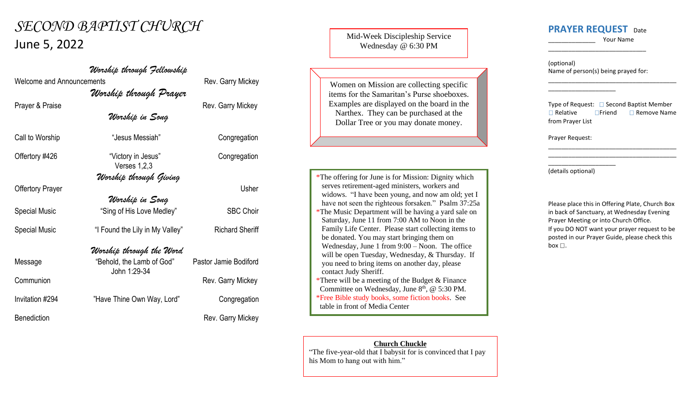# *SECOND BAPTIST CHURCH* June 5, 2022

Welcome and Announcements **Rev.** Garry Mickey

*Worship through Prayer*

*Worship in Song*

*Worship through Fellowship*

Call to Worship **Call to Worship** "Jesus Messiah" Congregation

Offertory #426 "Victory in Jesus" Congregation Verses 1,2,3

*Worship through Giving*

*Worship in Song* Special Music "Sing of His Love Medley" SBC Choir Special Music "I Found the Lily in My Valley" Richard Sheriff

### *Worship through the Word*

Message "Behold, the Lamb of God" Pastor Jamie Bodiford John 1:29-34 Communion **Communion** Rev. Garry Mickey Invitation #294 "Have Thine Own Way, Lord" Congregation

Prayer & Praise **Rev.** Garry Mickey

# Offertory Prayer Usher

Benediction **Rev. Garry Mickey** 

Mid-Week Discipleship Service Wednesday @ 6:30 PM

Women on Mission are collecting specific items for the Samaritan's Purse shoeboxes. Examples are displayed on the board in the Narthex. They can be purchased at the Dollar Tree or you may donate money.

\*The offering for June is for Mission: Dignity which serves retirement-aged ministers, workers and widows. "I have been young, and now am old; yet I have not seen the righteous forsaken." Psalm 37:25a \*The Music Department will be having a yard sale on Saturday, June 11 from 7:00 AM to Noon in the Family Life Center. Please start collecting items to be donated. You may start bringing them on Wednesday, June 1 from 9:00 – Noon. The office will be open Tuesday, Wednesday, & Thursday. If you need to bring items on another day, please contact Judy Sheriff.

\*There will be a meeting of the Budget  $&$  Finance Committee on Wednesday, June  $8<sup>th</sup>$ , @ 5:30 PM. \*Free Bible study books, some fiction books. See table in front of Media Center

#### **Church Chuckle**

"The five-year-old that I babysit for is convinced that I pay his Mom to hang out with him."

## **PRAYER REQUEST** Date

\_\_\_\_\_\_\_\_\_\_\_\_\_\_\_\_\_\_\_\_\_\_\_\_\_\_\_\_\_

\_\_\_\_\_\_\_\_\_\_\_\_\_\_ Your Name

\_\_\_\_\_\_\_\_\_\_\_\_\_\_\_\_\_\_\_\_\_\_\_\_\_\_\_\_\_\_\_\_\_\_\_\_\_\_

(optional) Name of person(s) being prayed for:

\_\_\_\_\_\_\_\_\_\_\_\_\_\_\_\_\_\_\_\_

Type of Request:  $\Box$  Second Baptist Member  $\Box$  Relative  $\Box$  Friend  $\Box$  Remove Name from Prayer List

\_\_\_\_\_\_\_\_\_\_\_\_\_\_\_\_\_\_\_\_\_\_\_\_\_\_\_\_\_\_\_\_\_\_\_\_\_\_ \_\_\_\_\_\_\_\_\_\_\_\_\_\_\_\_\_\_\_\_\_\_\_\_\_\_\_\_\_\_\_\_\_\_\_\_\_\_

Prayer Request:

\_\_\_\_\_\_\_\_\_\_\_\_\_\_\_\_\_\_\_\_ (details optional)

Please place this in Offering Plate, Church Box in back of Sanctuary, at Wednesday Evening Prayer Meeting or into Church Office. If you DO NOT want your prayer request to be posted in our Prayer Guide, please check this box  $\square$ .